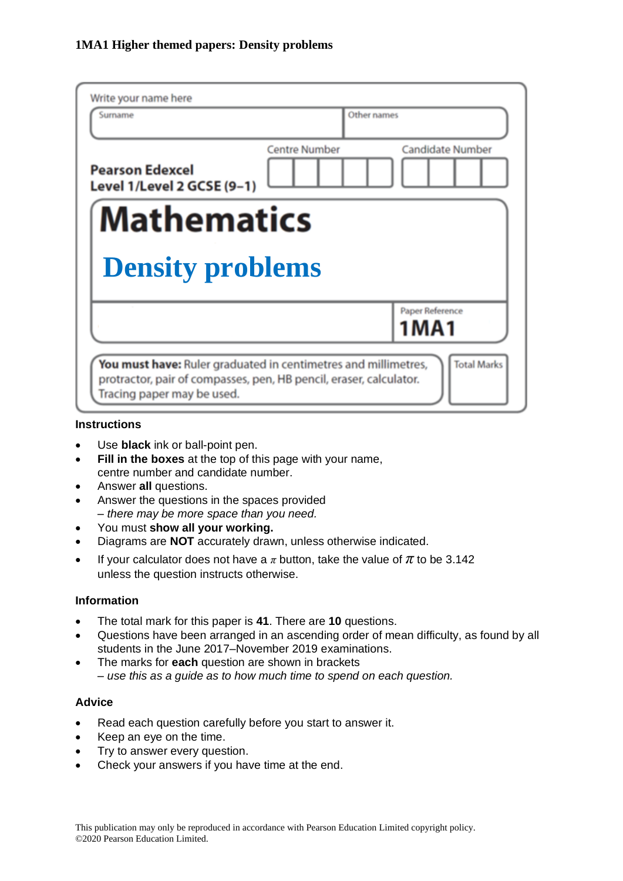| Write your name here<br>Surname                                | Other names          |                            |
|----------------------------------------------------------------|----------------------|----------------------------|
| <b>Pearson Edexcel</b><br>Level 1/Level 2 GCSE (9-1)           | <b>Centre Number</b> | <b>Candidate Number</b>    |
| Mathematics<br><b>Density problems</b>                         |                      |                            |
|                                                                |                      | Paper Reference<br>1 M A 1 |
| You must have: Ruler graduated in centimetres and millimetres, |                      | <b>Total Marks</b>         |

#### **Instructions**

- Use **black** ink or ball-point pen.
- **Fill in the boxes** at the top of this page with your name, centre number and candidate number.
- Answer **all** questions.
- Answer the questions in the spaces provided *– there may be more space than you need.*
- You must **show all your working.**
- Diagrams are **NOT** accurately drawn, unless otherwise indicated.
- If your calculator does not have a  $\pi$  button, take the value of  $\pi$  to be 3.142 unless the question instructs otherwise.

### **Information**

- The total mark for this paper is **41**. There are **10** questions.
- Questions have been arranged in an ascending order of mean difficulty, as found by all students in the June 2017–November 2019 examinations.
- The marks for **each** question are shown in brackets *– use this as a guide as to how much time to spend on each question.*

### **Advice**

- Read each question carefully before you start to answer it.
- Keep an eye on the time.
- Try to answer every question.
- Check your answers if you have time at the end.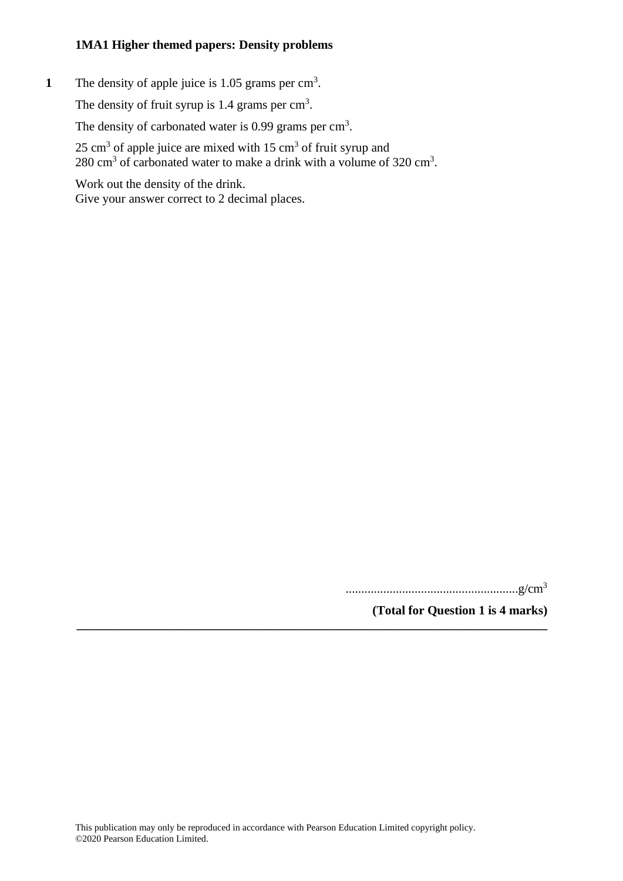1 The density of apple juice is 1.05 grams per cm<sup>3</sup>.

The density of fruit syrup is  $1.4$  grams per  $\text{cm}^3$ .

The density of carbonated water is 0.99 grams per  $\text{cm}^3$ .

 $25 \text{ cm}^3$  of apple juice are mixed with  $15 \text{ cm}^3$  of fruit syrup and 280 cm<sup>3</sup> of carbonated water to make a drink with a volume of  $320 \text{ cm}^3$ .

Work out the density of the drink. Give your answer correct to 2 decimal places.

.......................................................g/cm<sup>3</sup>

**(Total for Question 1 is 4 marks)**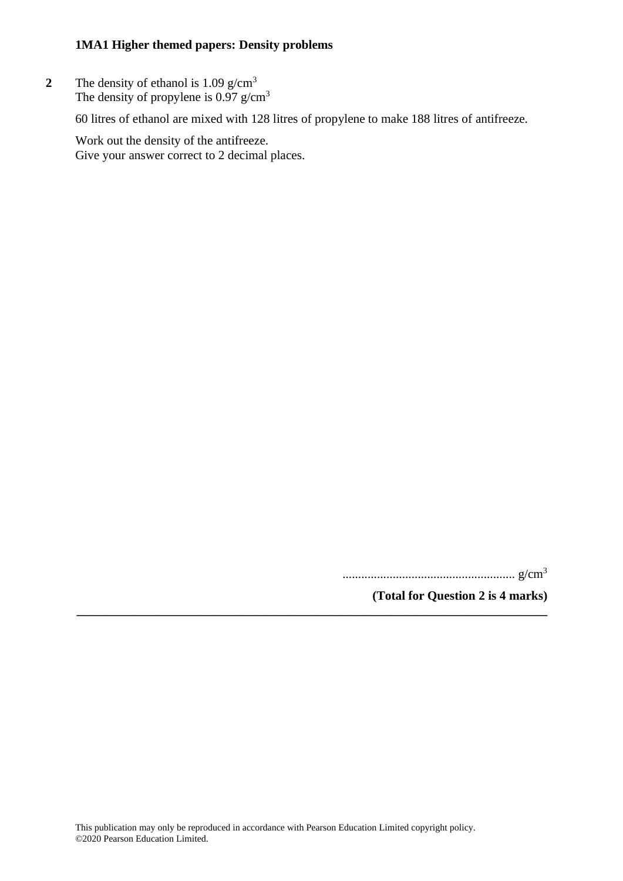**2** The density of ethanol is 1.09 g/cm<sup>3</sup> The density of propylene is  $0.97$  g/cm<sup>3</sup>

60 litres of ethanol are mixed with 128 litres of propylene to make 188 litres of antifreeze.

Work out the density of the antifreeze. Give your answer correct to 2 decimal places.

....................................................... g/cm<sup>3</sup>

**(Total for Question 2 is 4 marks)**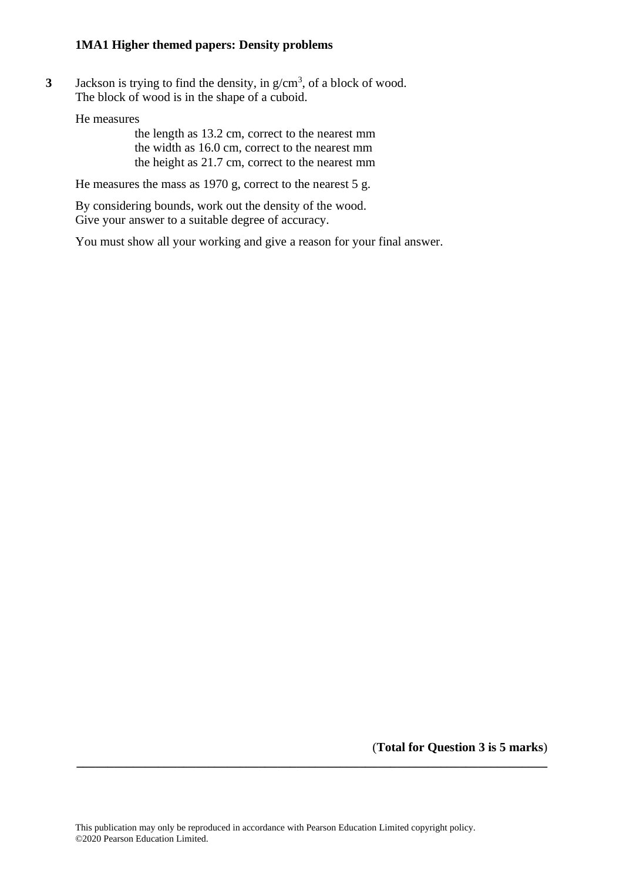**3** Jackson is trying to find the density, in g/cm<sup>3</sup>, of a block of wood. The block of wood is in the shape of a cuboid.

He measures

the length as 13.2 cm, correct to the nearest mm the width as 16.0 cm, correct to the nearest mm the height as 21.7 cm, correct to the nearest mm

He measures the mass as 1970 g, correct to the nearest 5 g.

By considering bounds, work out the density of the wood. Give your answer to a suitable degree of accuracy.

You must show all your working and give a reason for your final answer.

(**Total for Question 3 is 5 marks**)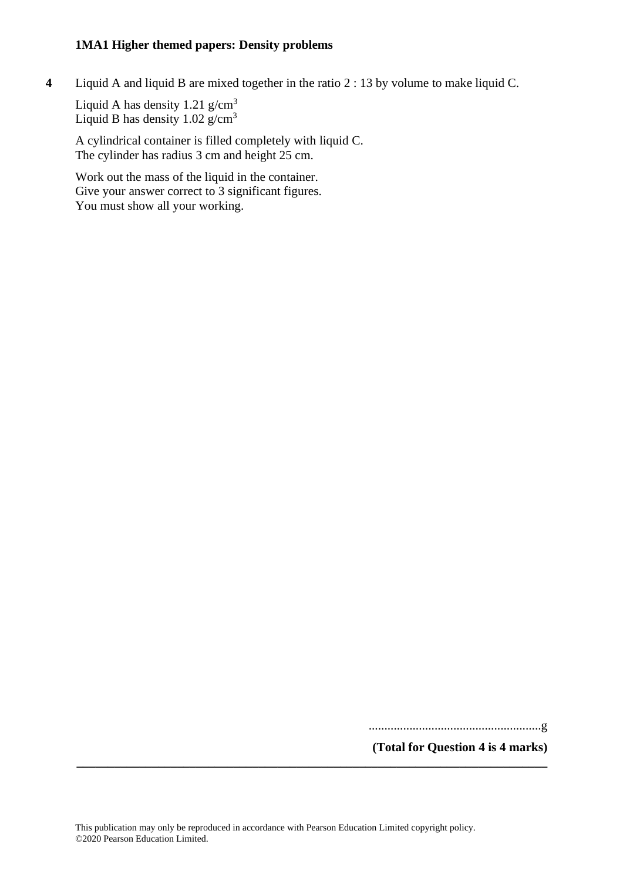**4** Liquid A and liquid B are mixed together in the ratio 2 : 13 by volume to make liquid C.

Liquid A has density  $1.21$  g/cm<sup>3</sup> Liquid B has density  $1.02$  g/cm<sup>3</sup>

A cylindrical container is filled completely with liquid C. The cylinder has radius 3 cm and height 25 cm.

Work out the mass of the liquid in the container. Give your answer correct to 3 significant figures. You must show all your working.

.......................................................g

**(Total for Question 4 is 4 marks)**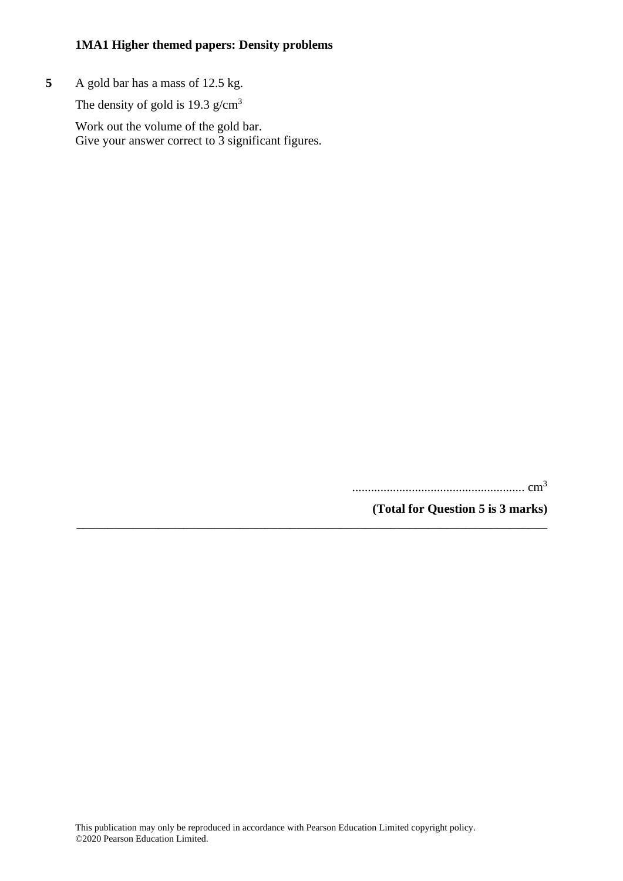**5** A gold bar has a mass of 12.5 kg.

The density of gold is 19.3  $g/cm<sup>3</sup>$ 

Work out the volume of the gold bar. Give your answer correct to 3 significant figures.

....................................................... cm<sup>3</sup>

**(Total for Question 5 is 3 marks)**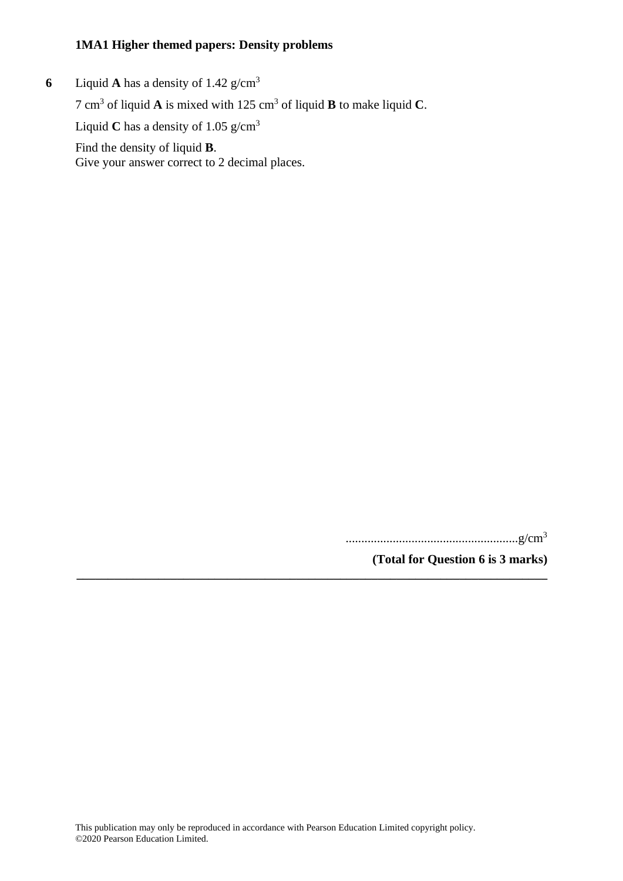**6** Liquid **A** has a density of  $1.42 \text{ g/cm}^3$ 7 cm<sup>3</sup> of liquid **A** is mixed with 125 cm<sup>3</sup> of liquid **B** to make liquid **C**. Liquid **C** has a density of 1.05  $g/cm<sup>3</sup>$ Find the density of liquid **B**. Give your answer correct to 2 decimal places.

.......................................................g/cm<sup>3</sup>

**(Total for Question 6 is 3 marks)**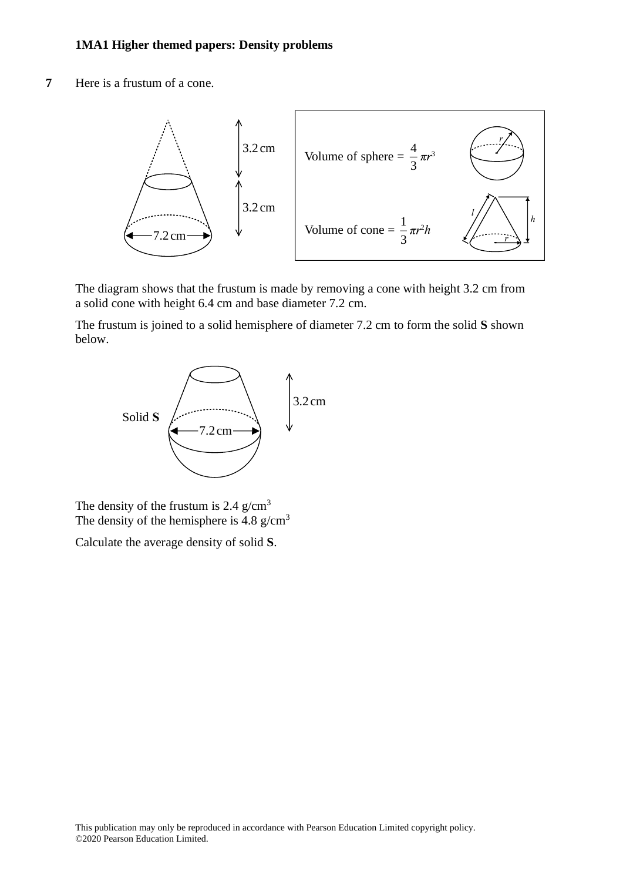**7** Here is a frustum of a cone. **20** Here is <sup>a</sup> frustum of <sup>a</sup> cone.



The diagram shows that the frustum is made by removing a cone with height 3.2 cm from The diagram shows that the frustum is made by removing <sup>a</sup> cone with height 3.2cm from a solid cone with height 6.4 cm and base diameter 7.2 cm. <sup>a</sup> solid cone with height 6.4cm and base diameter 7.2cm. The diagram shows that the frustum is made by removing <sup>a</sup> cone with height 3.2cm from The diagram shows that the frustum is made by removing

The frustum is joined to a solid hemisphere of diameter 7.2 cm to form the solid **S** shown The frustum is joined to <sup>a</sup> solid hemisphere of diameter 7.2cm to form the solid **S** shown below. below. The frustum is joined to <sup>a</sup> solid hemisphere of diameter 7.2cm to form the solid **S** shown



The density of the frustum is  $2.4$  g/cm<sup>3</sup> The density of the hemisphere is  $4.8 \text{ g/cm}^3$ 

Calculate the average density of solid S. Calculate the average density of solid **S**.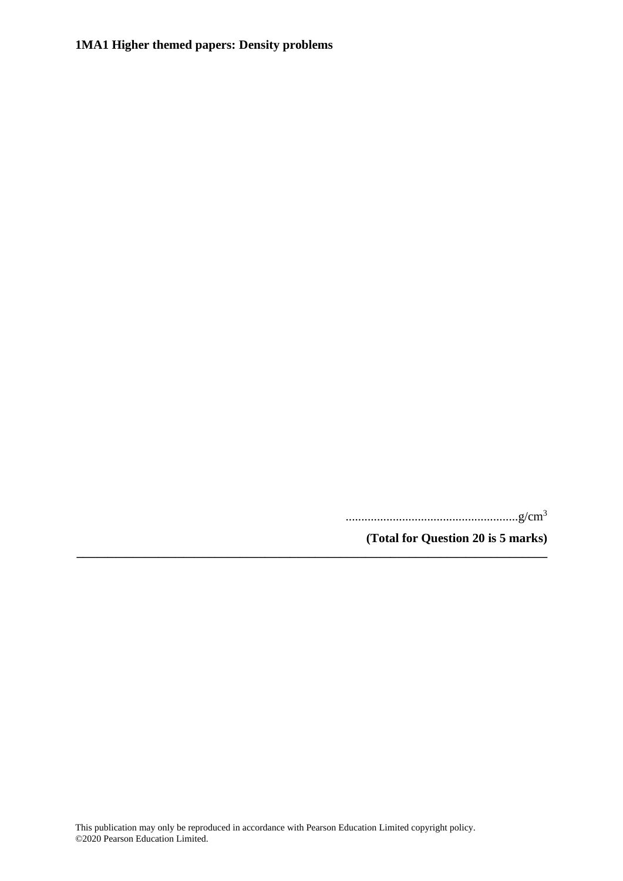.......................................................g/cm<sup>3</sup>

**(Total for Question 20 is 5 marks)**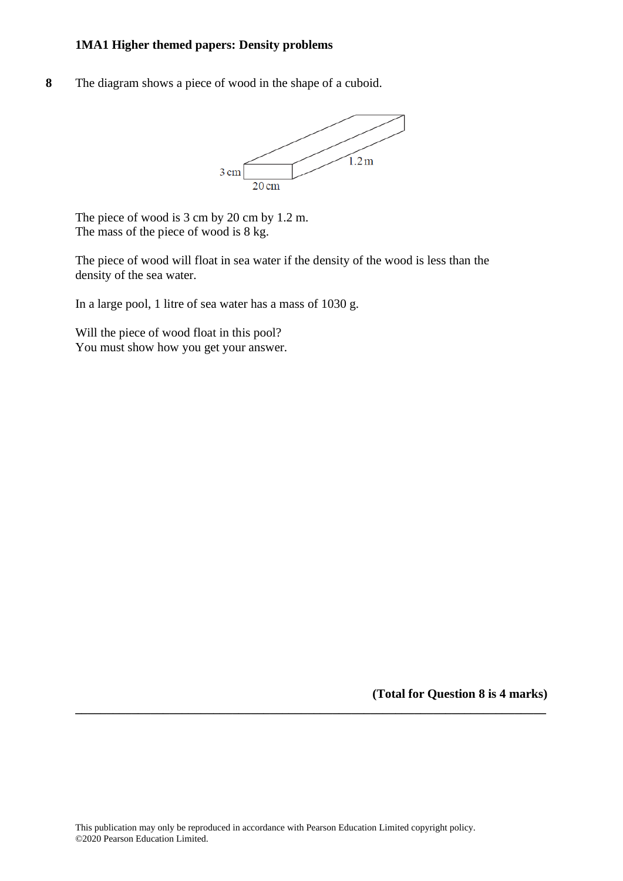**8** The diagram shows a piece of wood in the shape of a cuboid.



The piece of wood is 3 cm by 20 cm by 1.2 m. The mass of the piece of wood is 8 kg.

The piece of wood will float in sea water if the density of the wood is less than the density of the sea water.

In a large pool, 1 litre of sea water has a mass of 1030 g.

Will the piece of wood float in this pool? You must show how you get your answer.

**(Total for Question 8 is 4 marks)**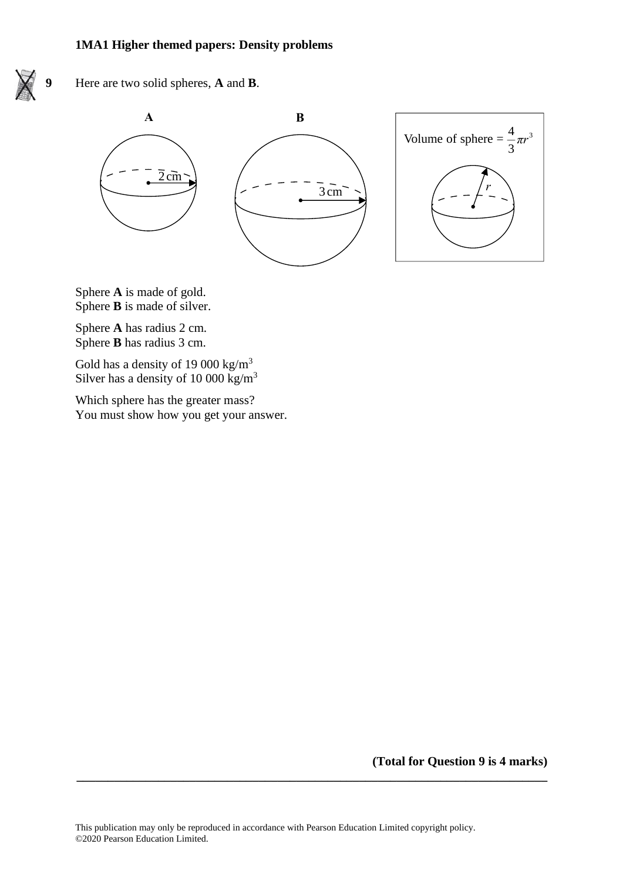

**9** Here are two solid spheres, **A** and **B**.





Sphere **A** is made of gold. Sphere **A** is made of gold. Sphere **B** is made of silver. Sphere **B** is made of silver.

Sphere **A** has radius 2 cm. Sphere **A** has radius 2cm. Sphere **B** has radius 3 cm. Sphere **B** has radius 3cm.

Gold has a density of 19 000 kg/ $m<sup>3</sup>$ Silver has a density of 10 000 kg/m<sup>3</sup>

Which sphere has the greater mass? You must show how you get your answer. Which sphere has the greater mass? You must show how you get you

**(Total for Question 9 is 4 marks)**